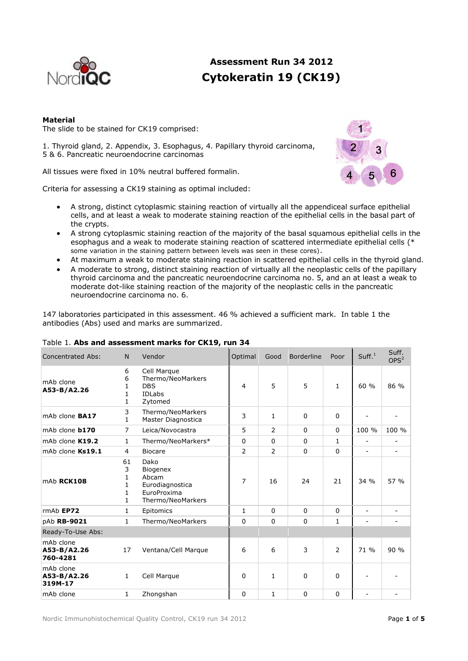

# **Assessment Run 34 2012 Cytokeratin 19 (CK19)**

# **Material**

The slide to be stained for CK19 comprised:

1. Thyroid gland, 2. Appendix, 3. Esophagus, 4. Papillary thyroid carcinoma, 5 & 6. Pancreatic neuroendocrine carcinomas

All tissues were fixed in 10% neutral buffered formalin.

Criteria for assessing a CK19 staining as optimal included:

- A strong, distinct cytoplasmic staining reaction of virtually all the appendiceal surface epithelial cells, and at least a weak to moderate staining reaction of the epithelial cells in the basal part of the crypts.
- A strong cytoplasmic staining reaction of the majority of the basal squamous epithelial cells in the esophagus and a weak to moderate staining reaction of scattered intermediate epithelial cells (\* some variation in the staining pattern between levels was seen in these cores).
- At maximum a weak to moderate staining reaction in scattered epithelial cells in the thyroid gland.
- A moderate to strong, distinct staining reaction of virtually all the neoplastic cells of the papillary thyroid carcinoma and the pancreatic neuroendocrine carcinoma no. 5, and an at least a weak to moderate dot-like staining reaction of the majority of the neoplastic cells in the pancreatic neuroendocrine carcinoma no. 6.

147 laboratories participated in this assessment. 46 % achieved a sufficient mark. In table 1 the antibodies (Abs) used and marks are summarized.

| Concentrated Abs:                    | N                           | Vendor                                                                           | Optimal  | Good           | Borderline  | Poor           | Suff. <sup>1</sup>       | Suff.<br>OPS <sup>2</sup> |
|--------------------------------------|-----------------------------|----------------------------------------------------------------------------------|----------|----------------|-------------|----------------|--------------------------|---------------------------|
| mAb clone<br>A53-B/A2.26             | 6<br>6<br>1<br>1<br>1       | Cell Marque<br>Thermo/NeoMarkers<br><b>DBS</b><br><b>IDLabs</b><br>Zytomed       | 4        | 5              | 5           | $\mathbf{1}$   | 60 %                     | 86 %                      |
| mAb clone <b>BA17</b>                | 3<br>$\mathbf{1}$           | Thermo/NeoMarkers<br>Master Diagnostica                                          | 3        | $\mathbf{1}$   | $\Omega$    | $\Omega$       |                          |                           |
| mAb clone <b>b170</b>                | 7                           | Leica/Novocastra                                                                 | 5        | $\overline{2}$ | $\mathbf 0$ | $\Omega$       | 100 %                    | 100 %                     |
| mAb clone K19.2                      | 1                           | Thermo/NeoMarkers*                                                               | $\Omega$ | $\Omega$       | $\Omega$    | $\mathbf{1}$   | $\overline{\phantom{a}}$ |                           |
| mAb clone Ks19.1                     | $\overline{4}$              | <b>Biocare</b>                                                                   | 2        | $\overline{2}$ | $\Omega$    | $\Omega$       | $\overline{\phantom{a}}$ | $\overline{\phantom{a}}$  |
| mAb RCK108                           | 61<br>3<br>1<br>1<br>1<br>1 | Dako<br>Biogenex<br>Abcam<br>Eurodiagnostica<br>EuroProxima<br>Thermo/NeoMarkers | 7        | 16             | 24          | 21             | 34%                      | 57 %                      |
| rmAb EP72                            | 1                           | Epitomics                                                                        | 1        | $\Omega$       | $\Omega$    | $\Omega$       |                          |                           |
| pAb RB-9021                          | 1                           | Thermo/NeoMarkers                                                                | $\Omega$ | $\Omega$       | $\mathbf 0$ | 1              |                          |                           |
| Ready-To-Use Abs:                    |                             |                                                                                  |          |                |             |                |                          |                           |
| mAb clone<br>A53-B/A2.26<br>760-4281 | 17                          | Ventana/Cell Marque                                                              | 6        | 6              | 3           | $\overline{2}$ | 71 %                     | 90%                       |
| mAb clone<br>A53-B/A2.26<br>319M-17  | $\mathbf{1}$                | Cell Marque                                                                      | 0        | $\mathbf{1}$   | $\Omega$    | $\Omega$       |                          |                           |
| mAb clone                            | $\mathbf{1}$                | Zhongshan                                                                        | $\Omega$ | $\mathbf{1}$   | $\Omega$    | $\Omega$       | $\blacksquare$           |                           |

# Table 1. **Abs and assessment marks for CK19, run 34**

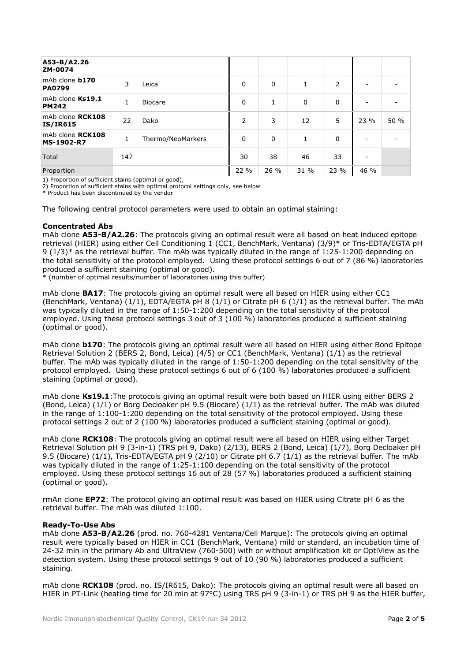| A53-B/A2.26<br>ZM-0074                 |     |                   |          |      |              |      |      |      |
|----------------------------------------|-----|-------------------|----------|------|--------------|------|------|------|
| mAb clone <b>b170</b><br><b>PA0799</b> | 3   | Leica             | $\Omega$ | 0    | $\mathbf{1}$ | 2    |      |      |
| mAb clone Ks19.1<br><b>PM242</b>       | 1   | <b>Biocare</b>    | $\Omega$ |      | 0            | 0    |      |      |
| mAb clone RCK108<br><b>IS/IR615</b>    | 22  | Dako              | 2        | 3    | 12           | 5    | 23 % | 50 % |
| mAb clone RCK108<br><b>MS-1902-R7</b>  | 1   | Thermo/NeoMarkers | $\Omega$ | 0    | $\mathbf{1}$ | 0    |      |      |
| Total                                  | 147 |                   | 30       | 38   | 46           | 33   |      |      |
| Proportion                             |     |                   | 22 %     | 26 % | 31 %         | 23 % | 46 % |      |

1) Proportion of sufficient stains (optimal or good),

2) Proportion of sufficient stains with optimal protocol settings only, see below

\* Product has been discontinued by the vendor

The following central protocol parameters were used to obtain an optimal staining:

## **Concentrated Abs**

mAb clone **A53-B/A2.26**: The protocols giving an optimal result were all based on heat induced epitope retrieval (HIER) using either Cell Conditioning 1 (CC1, BenchMark, Ventana) (3/9)\* or Tris-EDTA/EGTA pH 9 (1/3)\* as the retrieval buffer. The mAb was typically diluted in the range of 1:25-1:200 depending on the total sensitivity of the protocol employed. Using these protocol settings 6 out of 7 (86 %) laboratories produced a sufficient staining (optimal or good).

\* (number of optimal results/number of laboratories using this buffer)

mAb clone **BA17**: The protocols giving an optimal result were all based on HIER using either CC1 (BenchMark, Ventana) (1/1), EDTA/EGTA pH 8 (1/1) or Citrate pH 6 (1/1) as the retrieval buffer. The mAb was typically diluted in the range of 1:50-1:200 depending on the total sensitivity of the protocol employed. Using these protocol settings 3 out of 3 (100 %) laboratories produced a sufficient staining (optimal or good).

mAb clone **b170**: The protocols giving an optimal result were all based on HIER using either Bond Epitope Retrieval Solution 2 (BERS 2, Bond, Leica) (4/5) or CC1 (BenchMark, Ventana) (1/1) as the retrieval buffer. The mAb was typically diluted in the range of 1:50-1:200 depending on the total sensitivity of the protocol employed. Using these protocol settings 6 out of 6 (100 %) laboratories produced a sufficient staining (optimal or good).

mAb clone **Ks19.1**:The protocols giving an optimal result were both based on HIER using either BERS 2 (Bond, Leica) (1/1) or Borg Decloaker pH 9.5 (Biocare) (1/1) as the retrieval buffer. The mAb was diluted in the range of 1:100-1:200 depending on the total sensitivity of the protocol employed. Using these protocol settings 2 out of 2 (100 %) laboratories produced a sufficient staining (optimal or good).

mAb clone **RCK108**: The protocols giving an optimal result were all based on HIER using either Target Retrieval Solution pH 9 (3-in-1) (TRS pH 9, Dako) (2/13), BERS 2 (Bond, Leica) (1/7), Borg Decloaker pH 9.5 (Biocare) (1/1), Tris-EDTA/EGTA pH 9 (2/10) or Citrate pH 6.7 (1/1) as the retrieval buffer. The mAb was typically diluted in the range of 1:25-1:100 depending on the total sensitivity of the protocol employed. Using these protocol settings 16 out of 28 (57 %) laboratories produced a sufficient staining (optimal or good).

rmAn clone **EP72**: The protocol giving an optimal result was based on HIER using Citrate pH 6 as the retrieval buffer. The mAb was diluted 1:100.

## **Ready-To-Use Abs**

mAb clone **A53-B/A2.26** (prod. no. 760-4281 Ventana/Cell Marque): The protocols giving an optimal result were typically based on HIER in CC1 (BenchMark, Ventana) mild or standard, an incubation time of 24-32 min in the primary Ab and UltraView (760-500) with or without amplification kit or OptiView as the detection system. Using these protocol settings 9 out of 10 (90 %) laboratories produced a sufficient staining.

mAb clone **RCK108** (prod. no. IS/IR615, Dako): The protocols giving an optimal result were all based on HIER in PT-Link (heating time for 20 min at 97°C) using TRS pH 9 (3-in-1) or TRS pH 9 as the HIER buffer,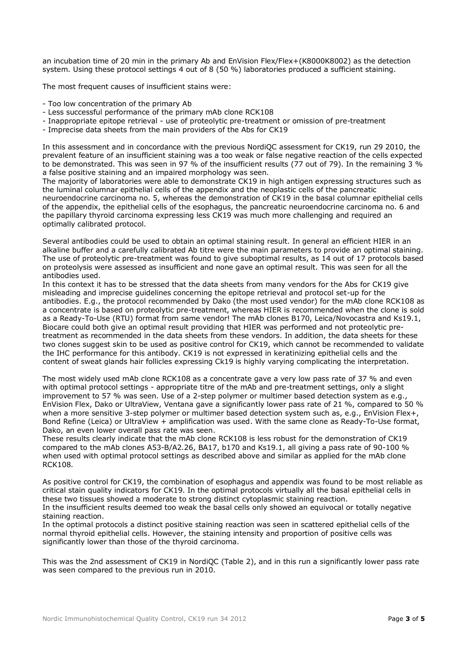an incubation time of 20 min in the primary Ab and EnVision Flex/Flex+(K8000K8002) as the detection system. Using these protocol settings 4 out of 8 (50 %) laboratories produced a sufficient staining.

The most frequent causes of insufficient stains were:

- Too low concentration of the primary Ab
- Less successful performance of the primary mAb clone RCK108
- Inappropriate epitope retrieval use of proteolytic pre-treatment or omission of pre-treatment
- Imprecise data sheets from the main providers of the Abs for CK19

In this assessment and in concordance with the previous NordiQC assessment for CK19, run 29 2010, the prevalent feature of an insufficient staining was a too weak or false negative reaction of the cells expected to be demonstrated. This was seen in 97 % of the insufficient results (77 out of 79). In the remaining 3 % a false positive staining and an impaired morphology was seen.

The majority of laboratories were able to demonstrate CK19 in high antigen expressing structures such as the luminal columnar epithelial cells of the appendix and the neoplastic cells of the pancreatic neuroendocrine carcinoma no. 5, whereas the demonstration of CK19 in the basal columnar epithelial cells of the appendix, the epithelial cells of the esophagus, the pancreatic neuroendocrine carcinoma no. 6 and the papillary thyroid carcinoma expressing less CK19 was much more challenging and required an optimally calibrated protocol.

Several antibodies could be used to obtain an optimal staining result. In general an efficient HIER in an alkaline buffer and a carefully calibrated Ab titre were the main parameters to provide an optimal staining. The use of proteolytic pre-treatment was found to give suboptimal results, as 14 out of 17 protocols based on proteolysis were assessed as insufficient and none gave an optimal result. This was seen for all the antibodies used.

In this context it has to be stressed that the data sheets from many vendors for the Abs for CK19 give misleading and imprecise guidelines concerning the epitope retrieval and protocol set-up for the antibodies. E.g., the protocol recommended by Dako (the most used vendor) for the mAb clone RCK108 as a concentrate is based on proteolytic pre-treatment, whereas HIER is recommended when the clone is sold as a Ready-To-Use (RTU) format from same vendor! The mAb clones B170, Leica/Novocastra and Ks19.1, Biocare could both give an optimal result providing that HIER was performed and not proteolytic pretreatment as recommended in the data sheets from these vendors. In addition, the data sheets for these two clones suggest skin to be used as positive control for CK19, which cannot be recommended to validate the IHC performance for this antibody. CK19 is not expressed in keratinizing epithelial cells and the content of sweat glands hair follicles expressing Ck19 is highly varying complicating the interpretation.

The most widely used mAb clone RCK108 as a concentrate gave a very low pass rate of 37 % and even with optimal protocol settings - appropriate titre of the mAb and pre-treatment settings, only a slight improvement to 57 % was seen. Use of a 2-step polymer or multimer based detection system as e.g., EnVision Flex, Dako or UltraView, Ventana gave a significantly lower pass rate of 21 %, compared to 50 % when a more sensitive 3-step polymer or multimer based detection system such as, e.g., EnVision Flex+, Bond Refine (Leica) or UltraView + amplification was used. With the same clone as Ready-To-Use format, Dako, an even lower overall pass rate was seen.

These results clearly indicate that the mAb clone RCK108 is less robust for the demonstration of CK19 compared to the mAb clones A53-B/A2.26, BA17, b170 and Ks19.1, all giving a pass rate of 90-100 % when used with optimal protocol settings as described above and similar as applied for the mAb clone RCK108.

As positive control for CK19, the combination of esophagus and appendix was found to be most reliable as critical stain quality indicators for CK19. In the optimal protocols virtually all the basal epithelial cells in these two tissues showed a moderate to strong distinct cytoplasmic staining reaction.

In the insufficient results deemed too weak the basal cells only showed an equivocal or totally negative staining reaction.

In the optimal protocols a distinct positive staining reaction was seen in scattered epithelial cells of the normal thyroid epithelial cells. However, the staining intensity and proportion of positive cells was significantly lower than those of the thyroid carcinoma.

This was the 2nd assessment of CK19 in NordiQC (Table 2), and in this run a significantly lower pass rate was seen compared to the previous run in 2010.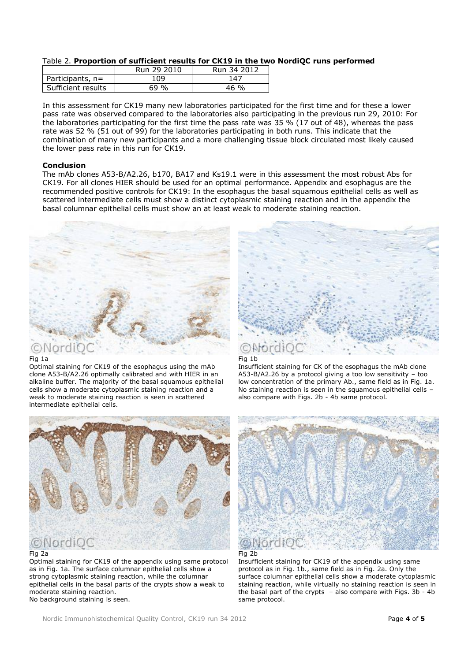# Table 2. **Proportion of sufficient results for CK19 in the two NordiQC runs performed**

|                    | Run 29 2010 | Run 34 2012 |
|--------------------|-------------|-------------|
| Participants, $n=$ | LO9         | 147         |
| Sufficient results | 69 %        | 46 %        |

In this assessment for CK19 many new laboratories participated for the first time and for these a lower pass rate was observed compared to the laboratories also participating in the previous run 29, 2010: For the laboratories participating for the first time the pass rate was 35 % (17 out of 48), whereas the pass rate was 52 % (51 out of 99) for the laboratories participating in both runs. This indicate that the combination of many new participants and a more challenging tissue block circulated most likely caused the lower pass rate in this run for CK19.

## **Conclusion**

The mAb clones A53-B/A2.26, b170, BA17 and Ks19.1 were in this assessment the most robust Abs for CK19. For all clones HIER should be used for an optimal performance. Appendix and esophagus are the recommended positive controls for CK19: In the esophagus the basal squamous epithelial cells as well as scattered intermediate cells must show a distinct cytoplasmic staining reaction and in the appendix the basal columnar epithelial cells must show an at least weak to moderate staining reaction.



#### Fig 1a

Optimal staining for CK19 of the esophagus using the mAb clone A53-B/A2.26 optimally calibrated and with HIER in an alkaline buffer. The majority of the basal squamous epithelial cells show a moderate cytoplasmic staining reaction and a weak to moderate staining reaction is seen in scattered intermediate epithelial cells.



#### Fig 2a

Optimal staining for CK19 of the appendix using same protocol as in Fig. 1a. The surface columnar epithelial cells show a strong cytoplasmic staining reaction, while the columnar epithelial cells in the basal parts of the crypts show a weak to moderate staining reaction. No background staining is seen.



#### Fig 1b

Insufficient staining for CK of the esophagus the mAb clone A53-B/A2.26 by a protocol giving a too low sensitivity – too low concentration of the primary Ab., same field as in Fig. 1a. No staining reaction is seen in the squamous epithelial cells – also compare with Figs. 2b - 4b same protocol.





Insufficient staining for CK19 of the appendix using same protocol as in Fig. 1b., same field as in Fig. 2a. Only the surface columnar epithelial cells show a moderate cytoplasmic staining reaction, while virtually no staining reaction is seen in the basal part of the crypts – also compare with Figs. 3b - 4b same protocol.